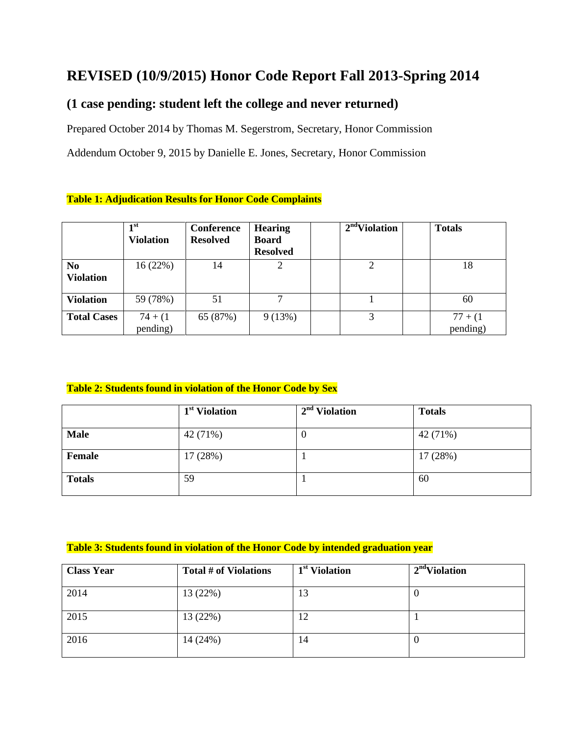# **REVISED (10/9/2015) Honor Code Report Fall 2013-Spring 2014**

## **(1 case pending: student left the college and never returned)**

Prepared October 2014 by Thomas M. Segerstrom, Secretary, Honor Commission

Addendum October 9, 2015 by Danielle E. Jones, Secretary, Honor Commission

#### **Table 1: Adjudication Results for Honor Code Complaints**

|                                    | 1st<br><b>Violation</b> | Conference<br><b>Resolved</b> | <b>Hearing</b><br><b>Board</b><br><b>Resolved</b> | $2nd$ Violation | <b>Totals</b>          |
|------------------------------------|-------------------------|-------------------------------|---------------------------------------------------|-----------------|------------------------|
| N <sub>0</sub><br><b>Violation</b> | 16(22%)                 | 14                            | 2                                                 | 2               | 18                     |
| <b>Violation</b>                   | 59 (78%)                | 51                            | 7                                                 |                 | 60                     |
| <b>Total Cases</b>                 | $74 + (1)$<br>pending)  | 65 (87%)                      | 9(13%)                                            | 3               | $77 + (1)$<br>pending) |

#### **Table 2: Students found in violation of the Honor Code by Sex**

|               | 1 <sup>st</sup> Violation | $2nd$ Violation | <b>Totals</b> |
|---------------|---------------------------|-----------------|---------------|
| <b>Male</b>   | 42 (71%)                  | $\theta$        | 42 (71%)      |
| Female        | 17 (28%)                  |                 | 17(28%)       |
| <b>Totals</b> | 59                        |                 | 60            |

#### **Table 3: Students found in violation of the Honor Code by intended graduation year**

| <b>Class Year</b> | Total # of Violations | 1 <sup>st</sup> Violation | $2nd$ Violation |
|-------------------|-----------------------|---------------------------|-----------------|
| 2014              | 13(22%)               | 13                        | υ               |
| 2015              | 13 (22%)              | 12                        |                 |
| 2016              | 14 (24%)              | 14                        | v               |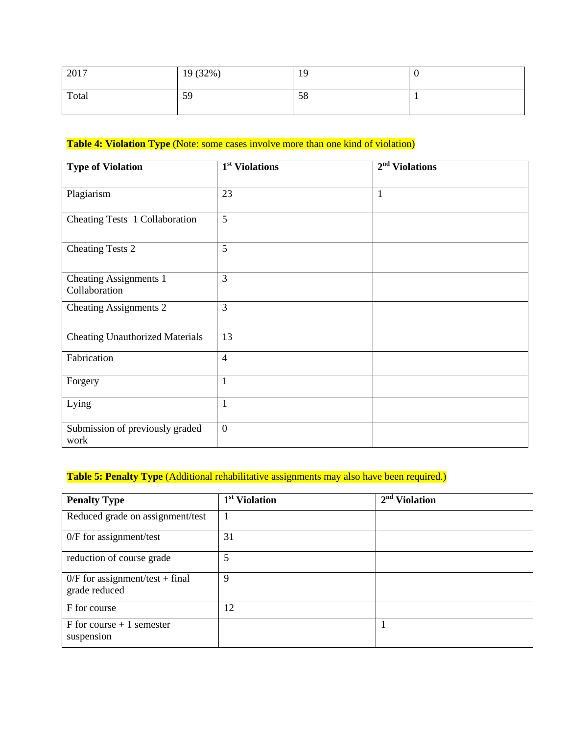| 2017  | 19 (32%) | 19 | ν  |
|-------|----------|----|----|
| Total | 59       | 58 | л. |

### **Table 4: Violation Type** (Note: some cases involve more than one kind of violation)

| <b>Type of Violation</b>                       | 1 <sup>st</sup> Violations | $2nd$ Violations |
|------------------------------------------------|----------------------------|------------------|
| Plagiarism                                     | 23                         | $\mathbf{1}$     |
| Cheating Tests 1 Collaboration                 | 5                          |                  |
| <b>Cheating Tests 2</b>                        | 5                          |                  |
| <b>Cheating Assignments 1</b><br>Collaboration | 3                          |                  |
| <b>Cheating Assignments 2</b>                  | 3                          |                  |
| <b>Cheating Unauthorized Materials</b>         | 13                         |                  |
| Fabrication                                    | $\overline{4}$             |                  |
| Forgery                                        | $\mathbf{1}$               |                  |
| Lying                                          | $\mathbf{1}$               |                  |
| Submission of previously graded<br>work        | $\mathbf{0}$               |                  |

## Table 5: Penalty Type (Additional rehabilitative assignments may also have been required.)

| <b>Penalty Type</b>                                | 1 <sup>st</sup> Violation | $2nd$ Violation |
|----------------------------------------------------|---------------------------|-----------------|
| Reduced grade on assignment/test                   | 1                         |                 |
| $0/F$ for assignment/test                          | 31                        |                 |
| reduction of course grade                          | 5                         |                 |
| $0/F$ for assignment/test + final<br>grade reduced | 9                         |                 |
| F for course                                       | 12                        |                 |
| $F$ for course + 1 semester<br>suspension          |                           |                 |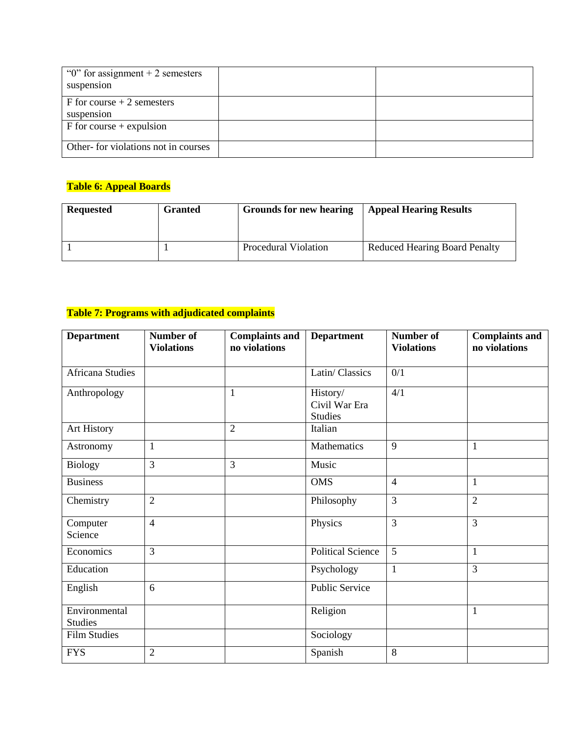| " $0$ " for assignment + 2 semesters<br>suspension |  |
|----------------------------------------------------|--|
| $F$ for course $+2$ semesters<br>suspension        |  |
| $F$ for course + expulsion                         |  |
| Other- for violations not in courses               |  |

## **Table 6: Appeal Boards**

| <b>Requested</b> | <b>Granted</b> | <b>Grounds for new hearing</b> | <b>Appeal Hearing Results</b>        |
|------------------|----------------|--------------------------------|--------------------------------------|
|                  |                | Procedural Violation           | <b>Reduced Hearing Board Penalty</b> |

## **Table 7: Programs with adjudicated complaints**

| <b>Department</b>       | Number of<br><b>Violations</b> | <b>Complaints and</b><br>no violations | <b>Department</b>        | <b>Number of</b><br><b>Violations</b> | <b>Complaints and</b><br>no violations |
|-------------------------|--------------------------------|----------------------------------------|--------------------------|---------------------------------------|----------------------------------------|
|                         |                                |                                        |                          |                                       |                                        |
| <b>Africana Studies</b> |                                |                                        | Latin/Classics           | 0/1                                   |                                        |
| Anthropology            |                                | $\mathbf{1}$                           | History/                 | 4/1                                   |                                        |
|                         |                                |                                        | Civil War Era            |                                       |                                        |
|                         |                                |                                        | <b>Studies</b>           |                                       |                                        |
| Art History             |                                | $\overline{2}$                         | Italian                  |                                       |                                        |
| Astronomy               | $\mathbf{1}$                   |                                        | Mathematics              | 9                                     | $\mathbf{1}$                           |
| <b>Biology</b>          | 3                              | 3                                      | Music                    |                                       |                                        |
| <b>Business</b>         |                                |                                        | <b>OMS</b>               | $\overline{4}$                        | $\mathbf{1}$                           |
| Chemistry               | $\overline{2}$                 |                                        | Philosophy               | 3                                     | $\overline{2}$                         |
| Computer                | $\overline{4}$                 |                                        | Physics                  | 3                                     | 3                                      |
| Science                 |                                |                                        |                          |                                       |                                        |
| Economics               | $\overline{3}$                 |                                        | <b>Political Science</b> | 5                                     | $\mathbf{1}$                           |
| Education               |                                |                                        | Psychology               | $\mathbf{1}$                          | $\overline{3}$                         |
| English                 | 6                              |                                        | <b>Public Service</b>    |                                       |                                        |
| Environmental           |                                |                                        | Religion                 |                                       | $\mathbf{1}$                           |
| <b>Studies</b>          |                                |                                        |                          |                                       |                                        |
| <b>Film Studies</b>     |                                |                                        | Sociology                |                                       |                                        |
| <b>FYS</b>              | $\overline{2}$                 |                                        | Spanish                  | 8                                     |                                        |